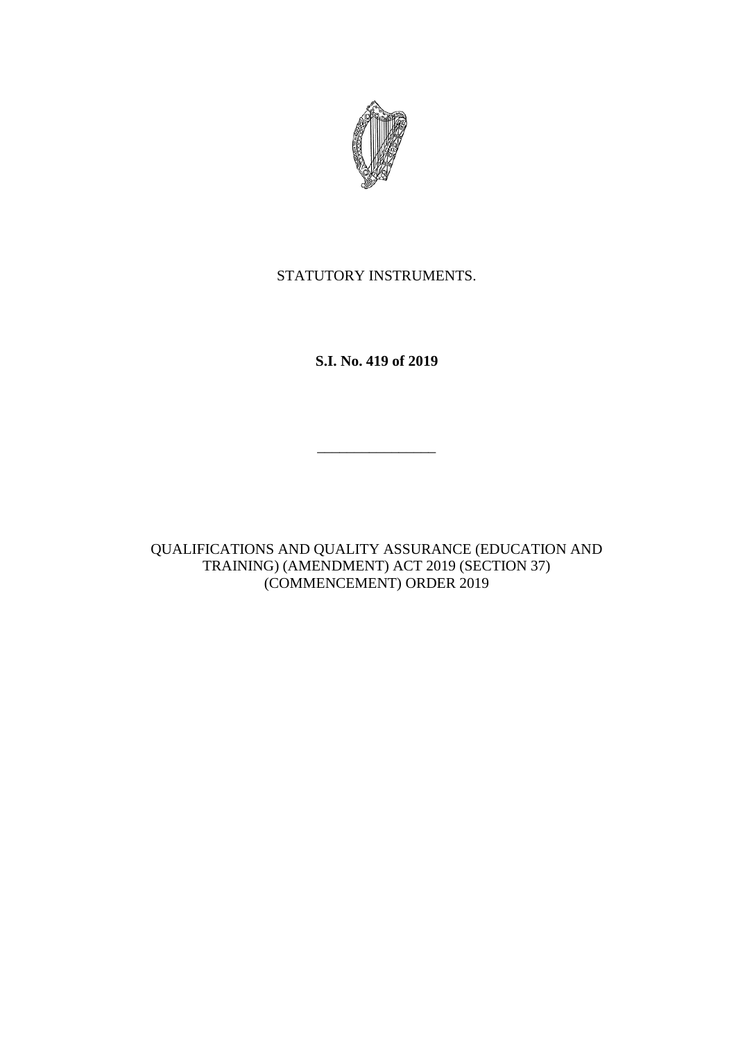

STATUTORY INSTRUMENTS.

**S.I. No. 419 of 2019**

\_\_\_\_\_\_\_\_\_\_\_\_\_\_\_\_

QUALIFICATIONS AND QUALITY ASSURANCE (EDUCATION AND TRAINING) (AMENDMENT) ACT 2019 (SECTION 37) (COMMENCEMENT) ORDER 2019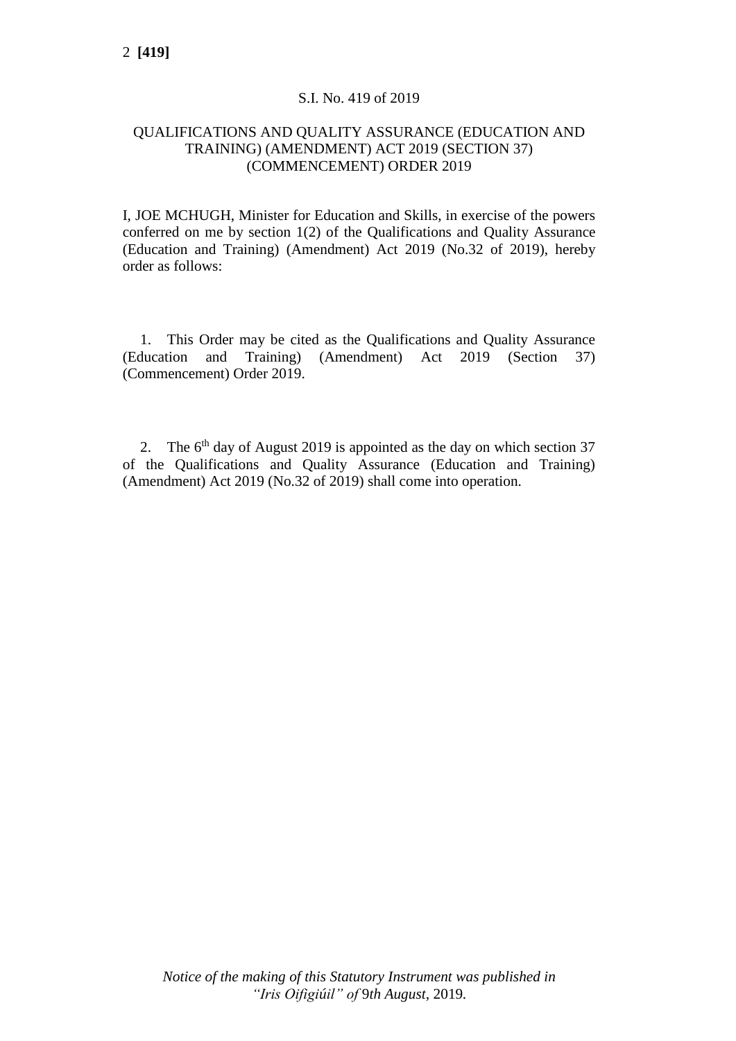## S.I. No. 419 of 2019

## QUALIFICATIONS AND QUALITY ASSURANCE (EDUCATION AND TRAINING) (AMENDMENT) ACT 2019 (SECTION 37) (COMMENCEMENT) ORDER 2019

I, JOE MCHUGH, Minister for Education and Skills, in exercise of the powers conferred on me by section 1(2) of the Qualifications and Quality Assurance (Education and Training) (Amendment) Act 2019 (No.32 of 2019), hereby order as follows:

1. This Order may be cited as the Qualifications and Quality Assurance (Education and Training) (Amendment) Act 2019 (Section 37) (Commencement) Order 2019.

2. The  $6<sup>th</sup>$  day of August 2019 is appointed as the day on which section 37 of the Qualifications and Quality Assurance (Education and Training) (Amendment) Act 2019 (No.32 of 2019) shall come into operation.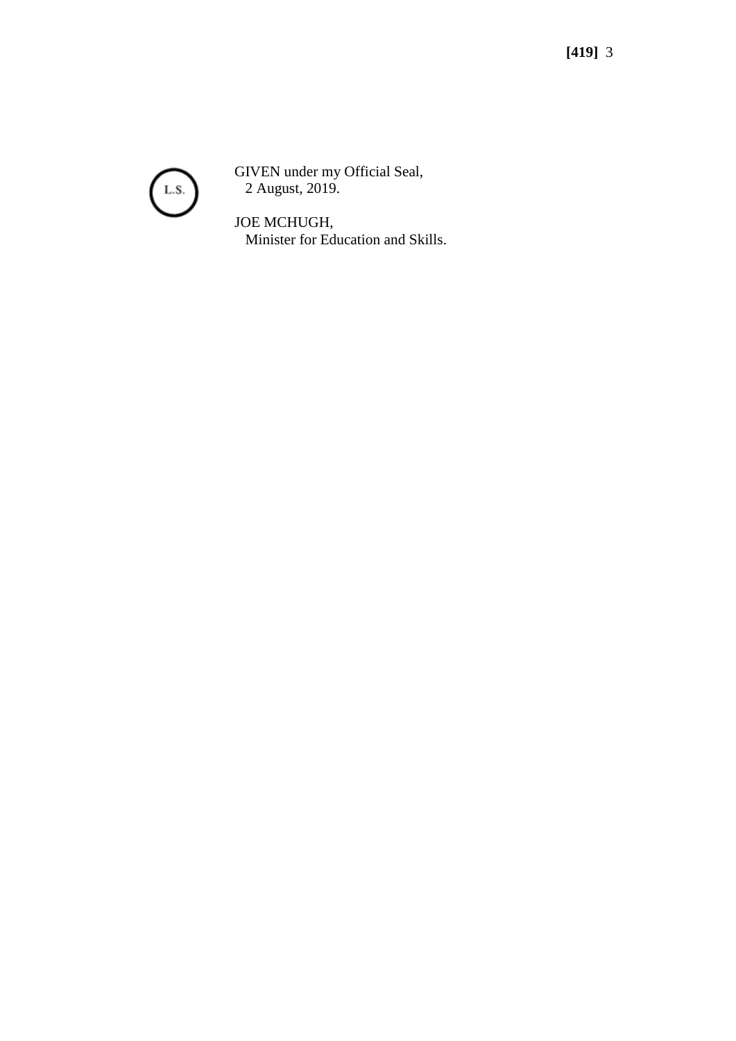

GIVEN under my Official Seal, 2 August, 2019.

JOE MCHUGH, Minister for Education and Skills.